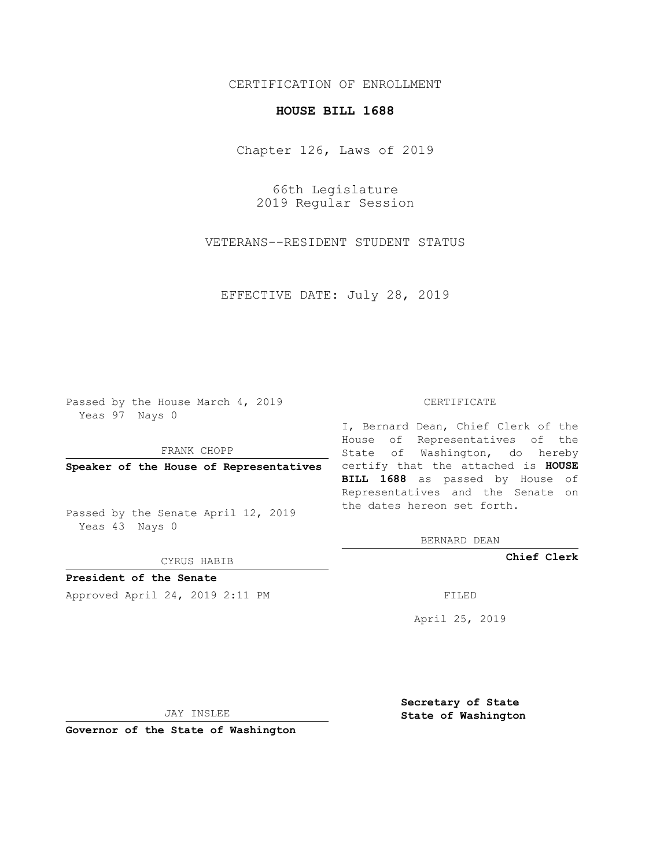# CERTIFICATION OF ENROLLMENT

### **HOUSE BILL 1688**

Chapter 126, Laws of 2019

66th Legislature 2019 Regular Session

VETERANS--RESIDENT STUDENT STATUS

EFFECTIVE DATE: July 28, 2019

Passed by the House March 4, 2019 Yeas 97 Nays 0

FRANK CHOPP

Passed by the Senate April 12, 2019 Yeas 43 Nays 0

CYRUS HABIB

**President of the Senate**

Approved April 24, 2019 2:11 PM FILED

#### CERTIFICATE

**Speaker of the House of Representatives** certify that the attached is **HOUSE** I, Bernard Dean, Chief Clerk of the House of Representatives of the State of Washington, do hereby **BILL 1688** as passed by House of Representatives and the Senate on the dates hereon set forth.

BERNARD DEAN

**Chief Clerk**

April 25, 2019

JAY INSLEE

**Governor of the State of Washington**

**Secretary of State State of Washington**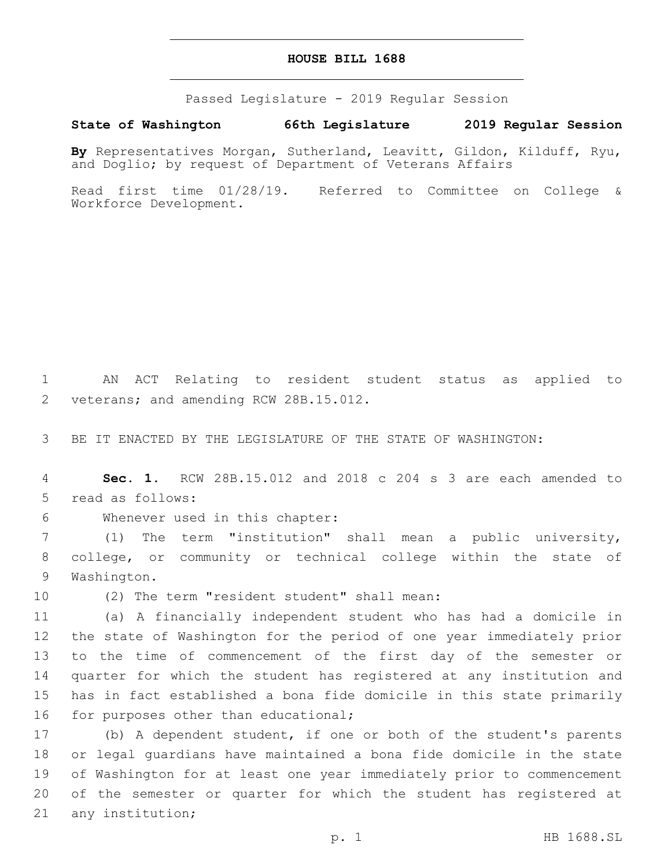### **HOUSE BILL 1688**

Passed Legislature - 2019 Regular Session

## **State of Washington 66th Legislature 2019 Regular Session**

**By** Representatives Morgan, Sutherland, Leavitt, Gildon, Kilduff, Ryu, and Doglio; by request of Department of Veterans Affairs

Read first time 01/28/19. Referred to Committee on College & Workforce Development.

1 AN ACT Relating to resident student status as applied to 2 veterans; and amending RCW 28B.15.012.

3 BE IT ENACTED BY THE LEGISLATURE OF THE STATE OF WASHINGTON:

4 **Sec. 1.** RCW 28B.15.012 and 2018 c 204 s 3 are each amended to 5 read as follows:

6 Whenever used in this chapter:

7 (1) The term "institution" shall mean a public university, 8 college, or community or technical college within the state of 9 Washington.

10 (2) The term "resident student" shall mean:

 (a) A financially independent student who has had a domicile in the state of Washington for the period of one year immediately prior to the time of commencement of the first day of the semester or quarter for which the student has registered at any institution and has in fact established a bona fide domicile in this state primarily 16 for purposes other than educational;

 (b) A dependent student, if one or both of the student's parents or legal guardians have maintained a bona fide domicile in the state of Washington for at least one year immediately prior to commencement of the semester or quarter for which the student has registered at 21 any institution;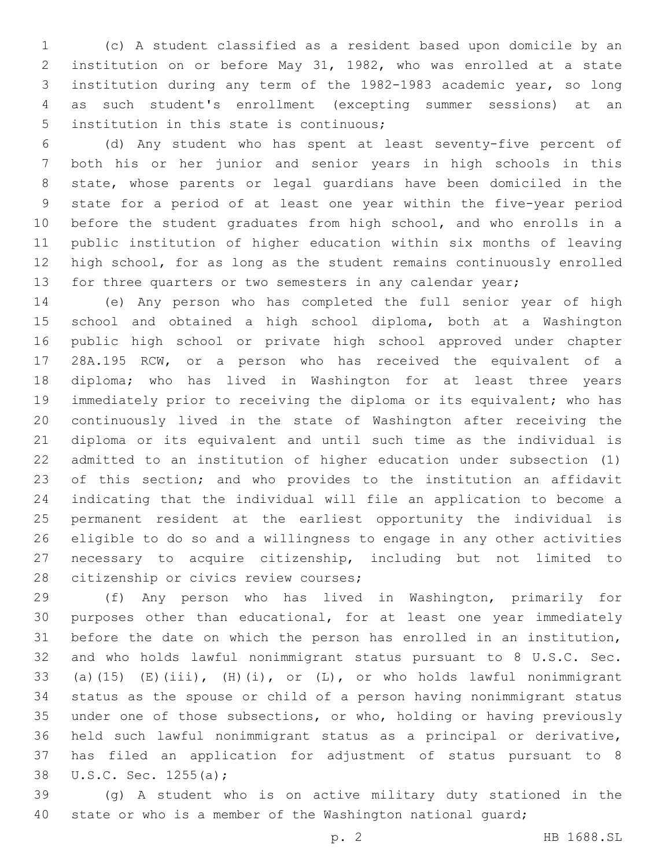(c) A student classified as a resident based upon domicile by an institution on or before May 31, 1982, who was enrolled at a state institution during any term of the 1982-1983 academic year, so long as such student's enrollment (excepting summer sessions) at an 5 institution in this state is continuous;

 (d) Any student who has spent at least seventy-five percent of both his or her junior and senior years in high schools in this state, whose parents or legal guardians have been domiciled in the state for a period of at least one year within the five-year period before the student graduates from high school, and who enrolls in a public institution of higher education within six months of leaving high school, for as long as the student remains continuously enrolled 13 for three quarters or two semesters in any calendar year;

 (e) Any person who has completed the full senior year of high school and obtained a high school diploma, both at a Washington public high school or private high school approved under chapter 28A.195 RCW, or a person who has received the equivalent of a diploma; who has lived in Washington for at least three years immediately prior to receiving the diploma or its equivalent; who has continuously lived in the state of Washington after receiving the diploma or its equivalent and until such time as the individual is admitted to an institution of higher education under subsection (1) of this section; and who provides to the institution an affidavit indicating that the individual will file an application to become a permanent resident at the earliest opportunity the individual is eligible to do so and a willingness to engage in any other activities necessary to acquire citizenship, including but not limited to 28 citizenship or civics review courses;

 (f) Any person who has lived in Washington, primarily for purposes other than educational, for at least one year immediately before the date on which the person has enrolled in an institution, and who holds lawful nonimmigrant status pursuant to 8 U.S.C. Sec. (a)(15) (E)(iii), (H)(i), or (L), or who holds lawful nonimmigrant status as the spouse or child of a person having nonimmigrant status under one of those subsections, or who, holding or having previously held such lawful nonimmigrant status as a principal or derivative, has filed an application for adjustment of status pursuant to 8 38 U.S.C. Sec. 1255(a);

 (g) A student who is on active military duty stationed in the 40 state or who is a member of the Washington national quard;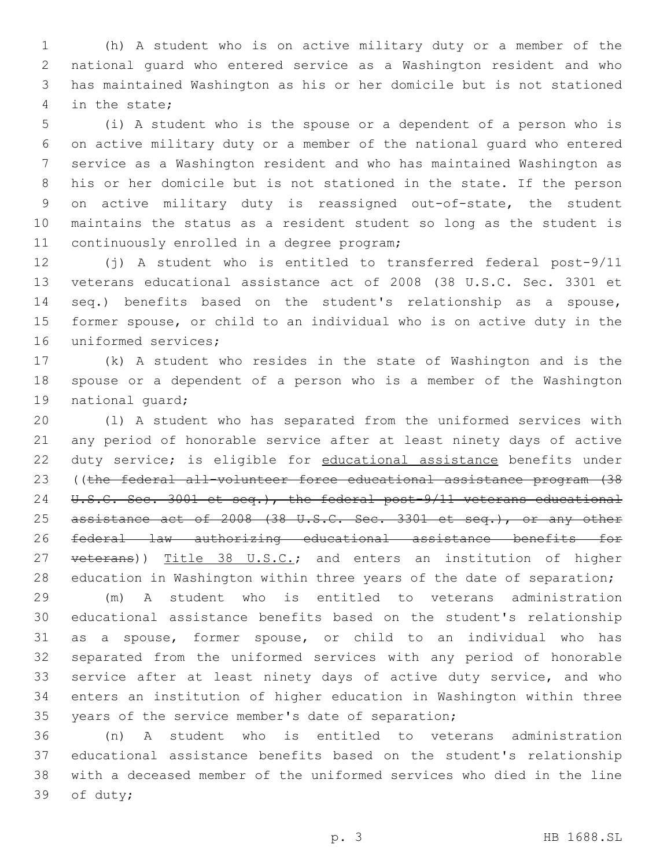(h) A student who is on active military duty or a member of the national guard who entered service as a Washington resident and who has maintained Washington as his or her domicile but is not stationed 4 in the state;

 (i) A student who is the spouse or a dependent of a person who is on active military duty or a member of the national guard who entered service as a Washington resident and who has maintained Washington as his or her domicile but is not stationed in the state. If the person on active military duty is reassigned out-of-state, the student maintains the status as a resident student so long as the student is 11 continuously enrolled in a degree program;

 (j) A student who is entitled to transferred federal post-9/11 veterans educational assistance act of 2008 (38 U.S.C. Sec. 3301 et seq.) benefits based on the student's relationship as a spouse, former spouse, or child to an individual who is on active duty in the 16 uniformed services:

 (k) A student who resides in the state of Washington and is the spouse or a dependent of a person who is a member of the Washington 19 national quard;

 (l) A student who has separated from the uniformed services with any period of honorable service after at least ninety days of active 22 duty service; is eligible for educational assistance benefits under ((the federal all-volunteer force educational assistance program (38 24 U.S.C. Sec. 3001 et seq.), the federal post-9/11 veterans educational 25 assistance act of 2008 (38 U.S.C. Sec. 3301 et seq.), or any other federal law authorizing educational assistance benefits for 27 veterans)) Title 38 U.S.C.; and enters an institution of higher 28 education in Washington within three years of the date of separation;

 (m) A student who is entitled to veterans administration educational assistance benefits based on the student's relationship as a spouse, former spouse, or child to an individual who has separated from the uniformed services with any period of honorable service after at least ninety days of active duty service, and who enters an institution of higher education in Washington within three 35 years of the service member's date of separation;

 (n) A student who is entitled to veterans administration educational assistance benefits based on the student's relationship with a deceased member of the uniformed services who died in the line 39 of duty;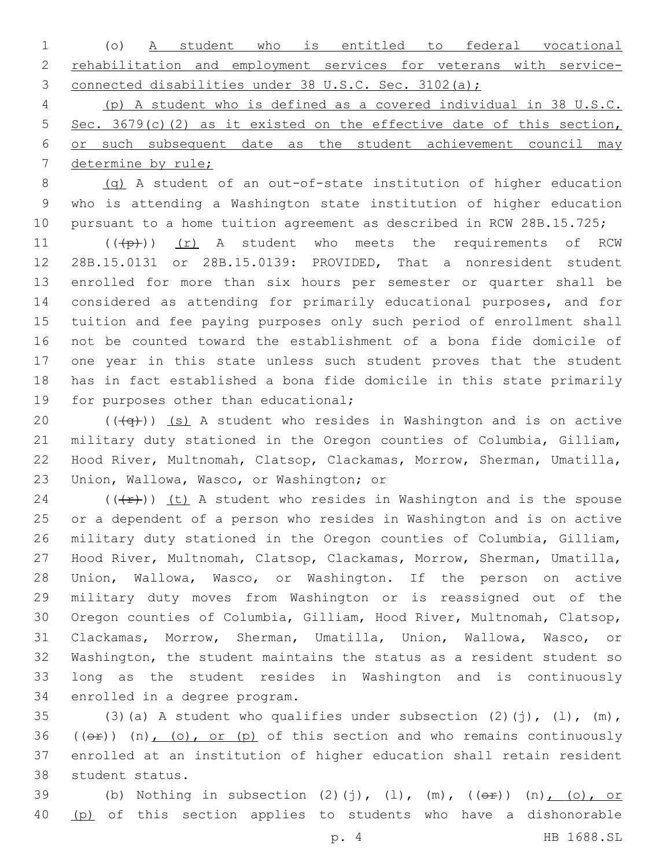| 1 (o) A student who is entitled to federal vocational               |  |  |  |  |  |
|---------------------------------------------------------------------|--|--|--|--|--|
| 2 rehabilitation and employment services for veterans with service- |  |  |  |  |  |
| 3 connected disabilities under 38 U.S.C. Sec. 3102(a);              |  |  |  |  |  |

 (p) A student who is defined as a covered individual in 38 U.S.C. 5 Sec. 3679(c)(2) as it existed on the effective date of this section, or such subsequent date as the student achievement council may determine by rule;

 (q) A student of an out-of-state institution of higher education who is attending a Washington state institution of higher education pursuant to a home tuition agreement as described in RCW 28B.15.725;

11 (((p)) (r) A student who meets the requirements of RCW 28B.15.0131 or 28B.15.0139: PROVIDED, That a nonresident student enrolled for more than six hours per semester or quarter shall be considered as attending for primarily educational purposes, and for tuition and fee paying purposes only such period of enrollment shall not be counted toward the establishment of a bona fide domicile of one year in this state unless such student proves that the student has in fact established a bona fide domicile in this state primarily 19 for purposes other than educational;

 $((+q))$  (s) A student who resides in Washington and is on active military duty stationed in the Oregon counties of Columbia, Gilliam, Hood River, Multnomah, Clatsop, Clackamas, Morrow, Sherman, Umatilla, 23 Union, Wallowa, Wasco, or Washington; or

24 ( $(\frac{f}{f})$ ) (t) A student who resides in Washington and is the spouse or a dependent of a person who resides in Washington and is on active military duty stationed in the Oregon counties of Columbia, Gilliam, Hood River, Multnomah, Clatsop, Clackamas, Morrow, Sherman, Umatilla, Union, Wallowa, Wasco, or Washington. If the person on active military duty moves from Washington or is reassigned out of the Oregon counties of Columbia, Gilliam, Hood River, Multnomah, Clatsop, Clackamas, Morrow, Sherman, Umatilla, Union, Wallowa, Wasco, or Washington, the student maintains the status as a resident student so long as the student resides in Washington and is continuously 34 enrolled in a degree program.

35 (3)(a) A student who qualifies under subsection  $(2)(j)$ ,  $(l)$ ,  $(m)$ , 36 ( $(\theta \hat{r})$ ) (n), (o), or (p) of this section and who remains continuously enrolled at an institution of higher education shall retain resident 38 student status.

39 (b) Nothing in subsection  $(2)(j)$ ,  $(l)$ ,  $(m)$ ,  $((e^E))$   $(n)$ ,  $(o)$ , or (p) of this section applies to students who have a dishonorable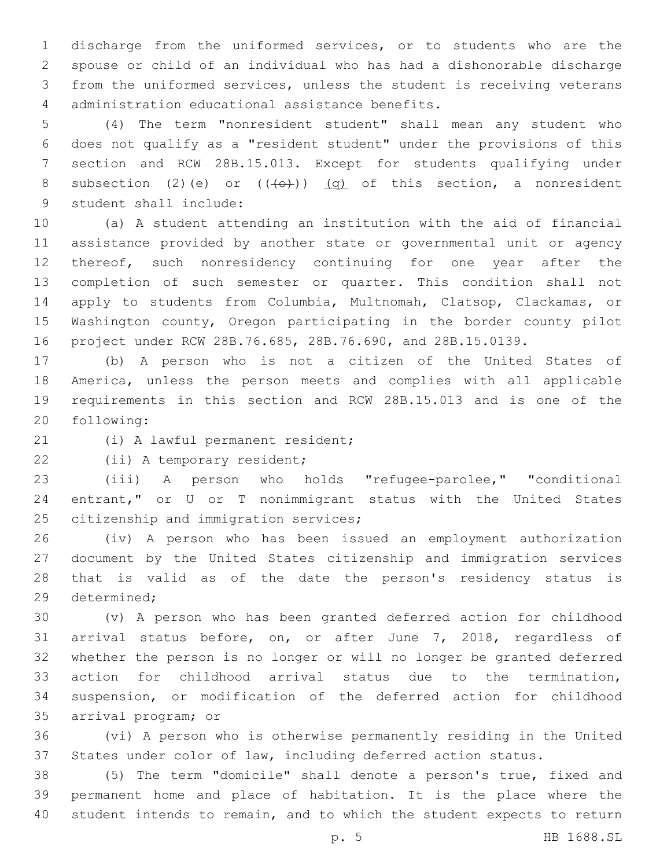discharge from the uniformed services, or to students who are the spouse or child of an individual who has had a dishonorable discharge from the uniformed services, unless the student is receiving veterans administration educational assistance benefits.4

 (4) The term "nonresident student" shall mean any student who does not qualify as a "resident student" under the provisions of this section and RCW 28B.15.013. Except for students qualifying under 8 subsection (2)(e) or  $((+e+))$  (q) of this section, a nonresident 9 student shall include:

 (a) A student attending an institution with the aid of financial assistance provided by another state or governmental unit or agency 12 thereof, such nonresidency continuing for one year after the completion of such semester or quarter. This condition shall not apply to students from Columbia, Multnomah, Clatsop, Clackamas, or Washington county, Oregon participating in the border county pilot project under RCW 28B.76.685, 28B.76.690, and 28B.15.0139.

 (b) A person who is not a citizen of the United States of America, unless the person meets and complies with all applicable requirements in this section and RCW 28B.15.013 and is one of the 20 following:

21 (i) A lawful permanent resident;

22 (ii) A temporary resident;

 (iii) A person who holds "refugee-parolee," "conditional entrant," or U or T nonimmigrant status with the United States 25 citizenship and immigration services;

 (iv) A person who has been issued an employment authorization document by the United States citizenship and immigration services that is valid as of the date the person's residency status is 29 determined;

 (v) A person who has been granted deferred action for childhood arrival status before, on, or after June 7, 2018, regardless of whether the person is no longer or will no longer be granted deferred action for childhood arrival status due to the termination, suspension, or modification of the deferred action for childhood 35 arrival program; or

 (vi) A person who is otherwise permanently residing in the United States under color of law, including deferred action status.

 (5) The term "domicile" shall denote a person's true, fixed and permanent home and place of habitation. It is the place where the student intends to remain, and to which the student expects to return